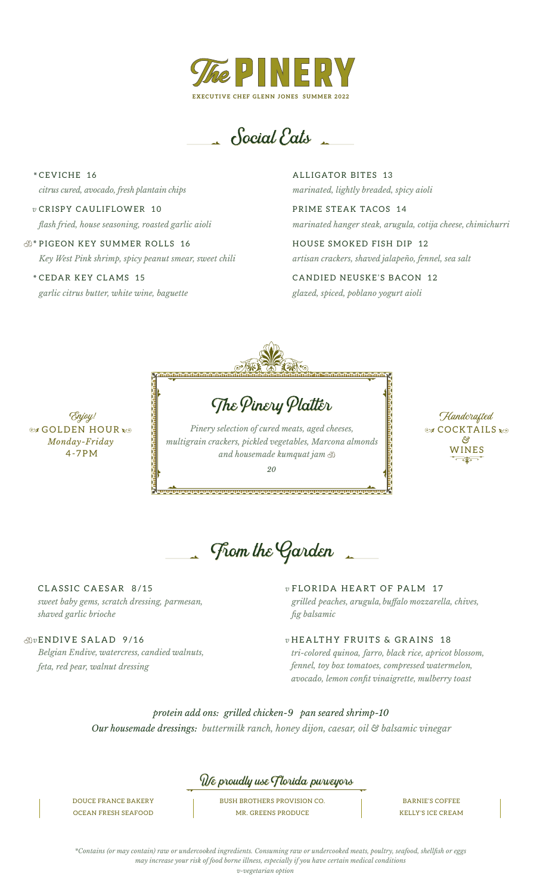

 $\triangle$  Social Eats

CEVICHE 16 \* *citrus cured, avocado, fresh plantain chips*

CRISPY CAULIFLOWER 10 *v flash fried, house seasoning, roasted garlic aioli*

PIGEON KEY SUMMER ROLLS 16 \* *Key West Pink shrimp, spicy peanut smear, sweet chili*

CEDAR KEY CLAMS 15 \* *garlic citrus butter, white wine, baguette* ALLIGATOR BITES 13 *marinated, lightly breaded, spicy aioli*

PRIME STEAK TACOS 14 *marinated hanger steak, arugula, cotija cheese, chimichurri*

HOUSE SMOKED FISH DIP 12 *artisan crackers, shaved jalapeño, fennel, sea salt*

CANDIED NEUSKE'S BACON 12 *glazed, spiced, poblano yogurt aioli*



**SOLDEN HOUR** 4-7P M *Monday-Friday* Enjoy!

The Pinery Platter *Pinery selection of cured meats, aged cheeses,* 

*multigrain crackers, pickled vegetables, Marcona almonds and housemade kumquat jam*

*20*

**COCKTAILS** Handcrafted WINES *&*

From the Garden

CLASSIC CAESAR 8/15 *sweet baby gems, scratch dressing, parmesan, shaved garlic brioche* 

## *v* ENDIVE SALAD 9/16

*Belgian Endive, watercress, candied walnuts, feta, red pear, walnut dressing*

FLORIDA HEART OF PALM 17 *vgrilled peaches, arugula, buffalo mozzarella, chives, fig balsamic* 

*v* HEALTHY FRUITS & GRAINS 18 *tri-colored quinoa, farro, black rice, apricot blossom, fennel, toy box tomatoes, compressed watermelon, avocado, lemon confit vinaigrette, mulberry toast*

*Our housemade dressings: buttermilk ranch, honey dijon, caesar, oil & balsamic vinegar protein add ons: grilled chicken-9 pan seared shrimp-10* 



DOUCE FRANCE BAKERY OCEAN FRESH SEAFOOD BUSH BROTHERS PROVISION CO. MR. GREENS PRODUCE

BARNIE'S COFFEE KELLY'S ICE CREAM

*\*Contains (or may contain) raw or undercooked ingredients. Consuming raw or undercooked meats, poultry, seafood, shellfish or eggs may increase your risk of food borne illness, especially if you have certain medical conditions v-vegetarian option*